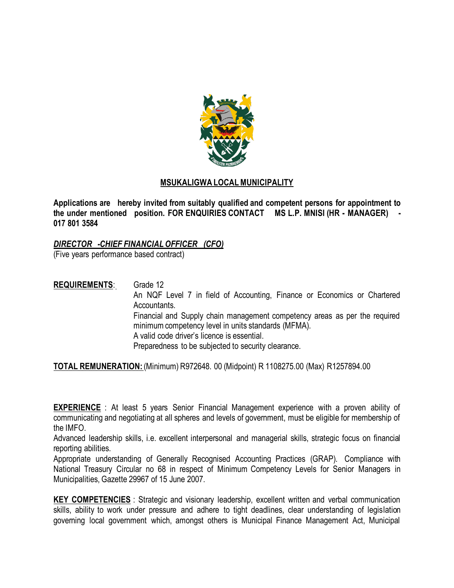

## **MSUKALIGWA LOCAL MUNICIPALITY**

**Applications are hereby invited from suitably qualified and competent persons for appointment to the under mentioned position. FOR ENQUIRIES CONTACT MS L.P. MNISI (HR - MANAGER) - 017 801 3584**

## *DIRECTOR -CHIEF FINANCIAL OFFICER (CFO)*

(Five years performance based contract)

**REQUIREMENTS**: Grade 12 An NQF Level 7 in field of Accounting, Finance or Economics or Chartered Accountants. Financial and Supply chain management competency areas as per the required minimum competency level in units standards (MFMA). A valid code driver's licence is essential. Preparedness to be subjected to security clearance.

**TOTAL REMUNERATION:** (Minimum) R972648. 00 (Midpoint) R 1108275.00 (Max) R1257894.00

**EXPERIENCE** : At least 5 years Senior Financial Management experience with a proven ability of communicating and negotiating at all spheres and levels of government, must be eligible for membership of the IMFO.

Advanced leadership skills, i.e. excellent interpersonal and managerial skills, strategic focus on financial reporting abilities.

Appropriate understanding of Generally Recognised Accounting Practices (GRAP). Compliance with National Treasury Circular no 68 in respect of Minimum Competency Levels for Senior Managers in Municipalities, Gazette 29967 of 15 June 2007.

**KEY COMPETENCIES** : Strategic and visionary leadership, excellent written and verbal communication skills, ability to work under pressure and adhere to tight deadlines, clear understanding of legislation governing local government which, amongst others is Municipal Finance Management Act, Municipal